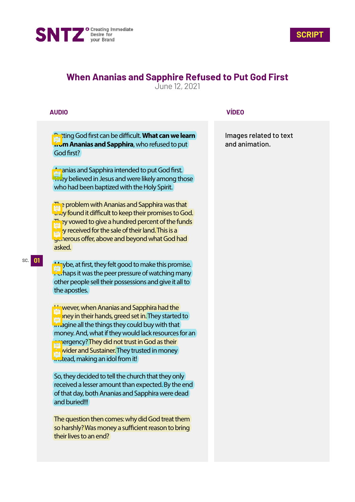



# **When Ananias and Sapphire Refused to Put God First**

June 12, 2021

## **AUDIO**

**Putting God first can be difficult. What can we learn from Ananias and Sapphira**, who refused to put God first?

An anias and Sapphira intended to put God first. **They believed in Jesus and were likely among those** who had been baptized with the Holy Spirit.

**The problem with Ananias and Sapphira was that** they found it difficult to keep their promises to God. They vowed to give a hundred percent of the funds  $t_{\rm{th}}$  by received for the sale of their land. This is a generous offer, above and beyond what God had asked.

 $M<sub>a</sub>$ ybe, at first, they felt good to make this promise.  $\Gamma$  chaps it was the peer pressure of watching many other people sell their possessions and give it all to the apostles.

However, when Ananias and Sapphira had the **Mo**pney in their hands, greed set in. They started to imagine all the things they could buy with that money. And, what if they would lack resources for an emergency? They did not trust in God as their **Provider and Sustainer.** They trusted in money **instead, making an idol from it!** 

So, they decided to tell the church that they only received a lesser amount than expected. By the end of that day, both Ananias and Sapphira were dead and buried!!!

The question then comes: why did God treat them so harshly? Was money a sufficient reason to bring their lives to an end?

### **VÍDEO**

Images related to text and animation.